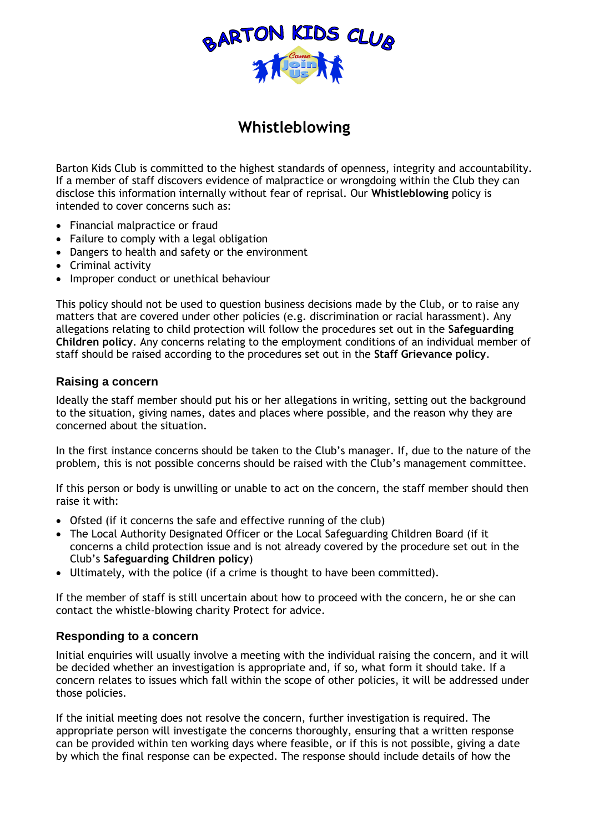

# **Whistleblowing**

Barton Kids Club is committed to the highest standards of openness, integrity and accountability. If a member of staff discovers evidence of malpractice or wrongdoing within the Club they can disclose this information internally without fear of reprisal. Our **Whistleblowing** policy is intended to cover concerns such as:

- Financial malpractice or fraud
- Failure to comply with a legal obligation
- Dangers to health and safety or the environment
- Criminal activity
- Improper conduct or unethical behaviour

This policy should not be used to question business decisions made by the Club, or to raise any matters that are covered under other policies (e.g. discrimination or racial harassment). Any allegations relating to child protection will follow the procedures set out in the **Safeguarding Children policy**. Any concerns relating to the employment conditions of an individual member of staff should be raised according to the procedures set out in the **Staff Grievance policy**.

# **Raising a concern**

Ideally the staff member should put his or her allegations in writing, setting out the background to the situation, giving names, dates and places where possible, and the reason why they are concerned about the situation.

In the first instance concerns should be taken to the Club's manager. If, due to the nature of the problem, this is not possible concerns should be raised with the Club's management committee.

If this person or body is unwilling or unable to act on the concern, the staff member should then raise it with:

- Ofsted (if it concerns the safe and effective running of the club)
- The Local Authority Designated Officer or the Local Safeguarding Children Board (if it concerns a child protection issue and is not already covered by the procedure set out in the Club's **Safeguarding Children policy**)
- Ultimately, with the police (if a crime is thought to have been committed).

If the member of staff is still uncertain about how to proceed with the concern, he or she can contact the whistle-blowing charity Protect for advice.

### **Responding to a concern**

Initial enquiries will usually involve a meeting with the individual raising the concern, and it will be decided whether an investigation is appropriate and, if so, what form it should take. If a concern relates to issues which fall within the scope of other policies, it will be addressed under those policies.

If the initial meeting does not resolve the concern, further investigation is required. The appropriate person will investigate the concerns thoroughly, ensuring that a written response can be provided within ten working days where feasible, or if this is not possible, giving a date by which the final response can be expected. The response should include details of how the